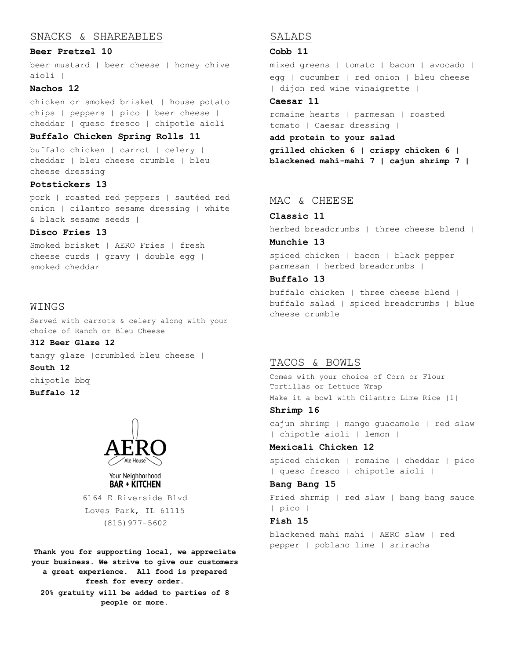# SNACKS & SHAREABLES

#### **Beer Pretzel 10**

beer mustard | beer cheese | honey chive aioli |

## **Nachos 12**

chicken or smoked brisket | house potato chips | peppers | pico | beer cheese | cheddar | queso fresco | chipotle aioli

# **Buffalo Chicken Spring Rolls 11**

buffalo chicken | carrot | celery | cheddar | bleu cheese crumble | bleu cheese dressing

## **Potstickers 13**

pork | roasted red peppers | sautéed red onion | cilantro sesame dressing | white & black sesame seeds |

## **Disco Fries 13**

Smoked brisket | AERO Fries | fresh cheese curds | gravy | double egg | smoked cheddar

# WINGS

Served with carrots & celery along with your choice of Ranch or Bleu Cheese

# **312 Beer Glaze 12**

tangy glaze |crumbled bleu cheese |

# **South 12**

chipotle bbq

**Buffalo 12**



#### Your Neighborhood **BAR + KITCHEN**

6164 E Riverside Blvd Loves Park, IL 61115 (815)977-5602

**Thank you for supporting local, we appreciate your business. We strive to give our customers a great experience. All food is prepared fresh for every order. 20% gratuity will be added to parties of 8 people or more.**

# SALADS

## **Cobb 11**

mixed greens | tomato | bacon | avocado | egg | cucumber | red onion | bleu cheese | dijon red wine vinaigrette |

# **Caesar 11**

romaine hearts | parmesan | roasted tomato | Caesar dressing |

## **add protein to your salad**

**grilled chicken 6 | crispy chicken 6 | blackened mahi-mahi 7 | cajun shrimp 7 |**

#### MAC & CHEESE

#### **Classic 11**

herbed breadcrumbs | three cheese blend |

#### **Munchie 13**

spiced chicken | bacon | black pepper parmesan | herbed breadcrumbs |

## **Buffalo 13**

buffalo chicken | three cheese blend | buffalo salad | spiced breadcrumbs | blue cheese crumble

# TACOS & BOWLS

Comes with your choice of Corn or Flour Tortillas or Lettuce Wrap Make it a bowl with Cilantro Lime Rice |1|

## **Shrimp 16**

cajun shrimp | mango guacamole | red slaw | chipotle aioli | lemon |

#### **Mexicali Chicken 12**

spiced chicken | romaine | cheddar | pico | queso fresco | chipotle aioli |

#### **Bang Bang 15**

Fried shrmip | red slaw | bang bang sauce | pico |

## **Fish 15**

blackened mahi mahi | AERO slaw | red pepper | poblano lime | sriracha